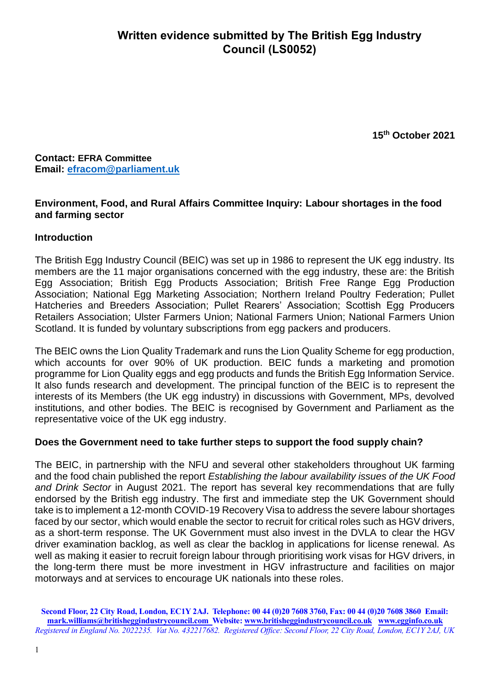**15 th October 2021**

**Contact: EFRA Committee Email: [efracom@parliament.uk](mailto:efracom@parliament.uk)**

# **Environment, Food, and Rural Affairs Committee Inquiry: Labour shortages in the food and farming sector**

# **Introduction**

The British Egg Industry Council (BEIC) was set up in 1986 to represent the UK egg industry. Its members are the 11 major organisations concerned with the egg industry, these are: the British Egg Association; British Egg Products Association; British Free Range Egg Production Association; National Egg Marketing Association; Northern Ireland Poultry Federation; Pullet Hatcheries and Breeders Association; Pullet Rearers' Association; Scottish Egg Producers Retailers Association; Ulster Farmers Union; National Farmers Union; National Farmers Union Scotland. It is funded by voluntary subscriptions from egg packers and producers.

The BEIC owns the Lion Quality Trademark and runs the Lion Quality Scheme for egg production, which accounts for over 90% of UK production. BEIC funds a marketing and promotion programme for Lion Quality eggs and egg products and funds the British Egg Information Service. It also funds research and development. The principal function of the BEIC is to represent the interests of its Members (the UK egg industry) in discussions with Government, MPs, devolved institutions, and other bodies. The BEIC is recognised by Government and Parliament as the representative voice of the UK egg industry.

### **Does the Government need to take further steps to support the food supply chain?**

The BEIC, in partnership with the NFU and several other stakeholders throughout UK farming and the food chain published the report *Establishing the labour availability issues of the UK Food and Drink Sector* in August 2021. The report has several key recommendations that are fully endorsed by the British egg industry. The first and immediate step the UK Government should take is to implement a 12-month COVID-19 Recovery Visa to address the severe labour shortages faced by our sector, which would enable the sector to recruit for critical roles such as HGV drivers, as a short-term response. The UK Government must also invest in the DVLA to clear the HGV driver examination backlog, as well as clear the backlog in applications for license renewal. As well as making it easier to recruit foreign labour through prioritising work visas for HGV drivers, in the long-term there must be more investment in HGV infrastructure and facilities on major motorways and at services to encourage UK nationals into these roles.

**Second Floor, 22 City Road, London, EC1Y 2AJ. Telephone: 00 44 (0)20 7608 3760, Fax: 00 44 (0)20 7608 3860 Email: [mark.williams@britisheggindustrycouncil.com](mailto:mark.williams@britisheggindustrycouncil.com) Website: [www.britisheggindustrycouncil.co.uk](http://www.britisheggindustrycouncil.co.uk/) [www.egginfo.co.uk](http://www.egginfo.co.uk/)**  *Registered in England No. 2022235. Vat No. 432217682. Registered Office: Second Floor, 22 City Road, London, EC1Y 2AJ, UK*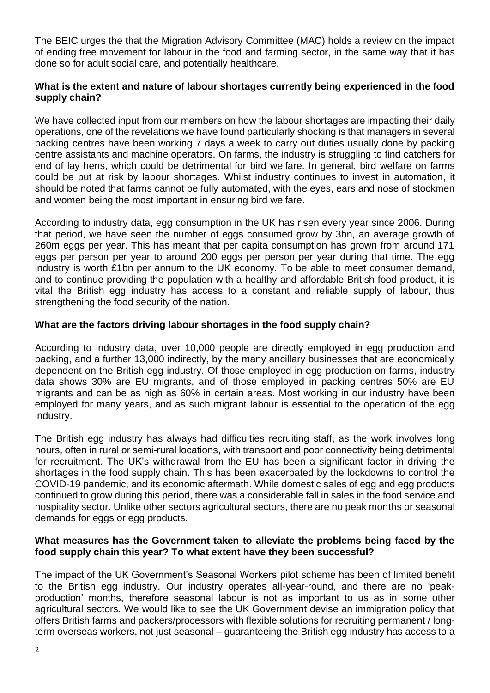The BEIC urges the that the Migration Advisory Committee (MAC) holds a review on the impact of ending free movement for labour in the food and farming sector, in the same way that it has done so for adult social care, and potentially healthcare.

# **What is the extent and nature of labour shortages currently being experienced in the food supply chain?**

We have collected input from our members on how the labour shortages are impacting their daily operations, one of the revelations we have found particularly shocking is that managers in several packing centres have been working 7 days a week to carry out duties usually done by packing centre assistants and machine operators. On farms, the industry is struggling to find catchers for end of lay hens, which could be detrimental for bird welfare. In general, bird welfare on farms could be put at risk by labour shortages. Whilst industry continues to invest in automation, it should be noted that farms cannot be fully automated, with the eyes, ears and nose of stockmen and women being the most important in ensuring bird welfare.

According to industry data, egg consumption in the UK has risen every year since 2006. During that period, we have seen the number of eggs consumed grow by 3bn, an average growth of 260m eggs per year. This has meant that per capita consumption has grown from around 171 eggs per person per year to around 200 eggs per person per year during that time. The egg industry is worth £1bn per annum to the UK economy. To be able to meet consumer demand, and to continue providing the population with a healthy and affordable British food product, it is vital the British egg industry has access to a constant and reliable supply of labour, thus strengthening the food security of the nation.

# **What are the factors driving labour shortages in the food supply chain?**

According to industry data, over 10,000 people are directly employed in egg production and packing, and a further 13,000 indirectly, by the many ancillary businesses that are economically dependent on the British egg industry. Of those employed in egg production on farms, industry data shows 30% are EU migrants, and of those employed in packing centres 50% are EU migrants and can be as high as 60% in certain areas. Most working in our industry have been employed for many years, and as such migrant labour is essential to the operation of the egg industry.

The British egg industry has always had difficulties recruiting staff, as the work involves long hours, often in rural or semi-rural locations, with transport and poor connectivity being detrimental for recruitment. The UK's withdrawal from the EU has been a significant factor in driving the shortages in the food supply chain. This has been exacerbated by the lockdowns to control the COVID-19 pandemic, and its economic aftermath. While domestic sales of egg and egg products continued to grow during this period, there was a considerable fall in sales in the food service and hospitality sector. Unlike other sectors agricultural sectors, there are no peak months or seasonal demands for eggs or egg products.

### **What measures has the Government taken to alleviate the problems being faced by the food supply chain this year? To what extent have they been successful?**

The impact of the UK Government's Seasonal Workers pilot scheme has been of limited benefit to the British egg industry. Our industry operates all-year-round, and there are no 'peakproduction' months, therefore seasonal labour is not as important to us as in some other agricultural sectors. We would like to see the UK Government devise an immigration policy that offers British farms and packers/processors with flexible solutions for recruiting permanent / longterm overseas workers, not just seasonal – guaranteeing the British egg industry has access to a